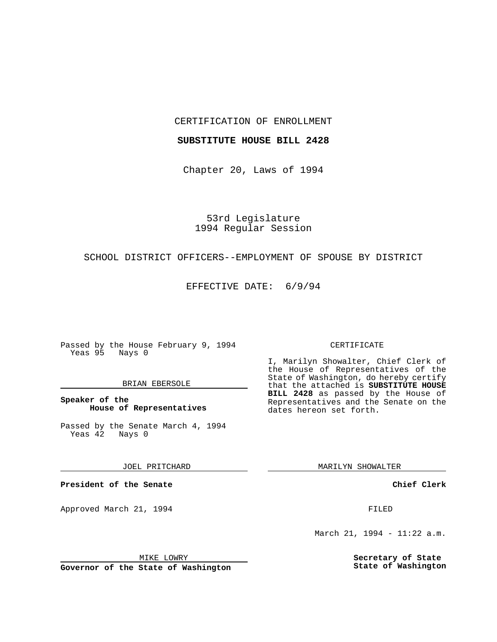### CERTIFICATION OF ENROLLMENT

## **SUBSTITUTE HOUSE BILL 2428**

Chapter 20, Laws of 1994

53rd Legislature 1994 Regular Session

# SCHOOL DISTRICT OFFICERS--EMPLOYMENT OF SPOUSE BY DISTRICT

EFFECTIVE DATE: 6/9/94

Passed by the House February 9, 1994 Yeas 95 Nays 0

### BRIAN EBERSOLE

## **Speaker of the House of Representatives**

Passed by the Senate March 4, 1994 Yeas 42 Nays 0

JOEL PRITCHARD

**President of the Senate**

Approved March 21, 1994 **FILED** 

### CERTIFICATE

I, Marilyn Showalter, Chief Clerk of the House of Representatives of the State of Washington, do hereby certify that the attached is **SUBSTITUTE HOUSE BILL 2428** as passed by the House of Representatives and the Senate on the dates hereon set forth.

MARILYN SHOWALTER

**Chief Clerk**

March 21, 1994 - 11:22 a.m.

**Secretary of State State of Washington**

MIKE LOWRY

**Governor of the State of Washington**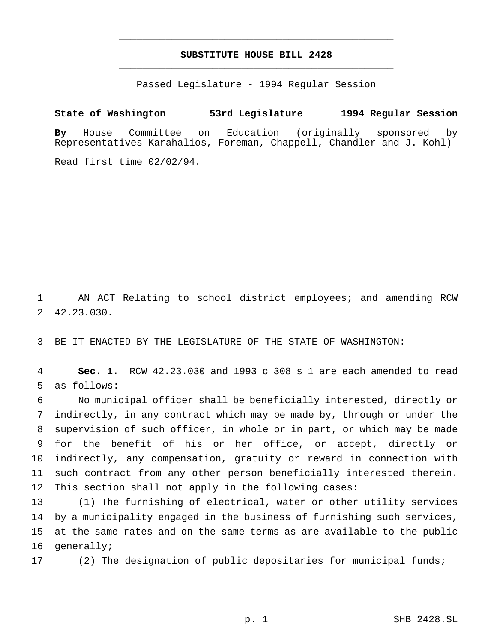# **SUBSTITUTE HOUSE BILL 2428** \_\_\_\_\_\_\_\_\_\_\_\_\_\_\_\_\_\_\_\_\_\_\_\_\_\_\_\_\_\_\_\_\_\_\_\_\_\_\_\_\_\_\_\_\_\_\_

\_\_\_\_\_\_\_\_\_\_\_\_\_\_\_\_\_\_\_\_\_\_\_\_\_\_\_\_\_\_\_\_\_\_\_\_\_\_\_\_\_\_\_\_\_\_\_

Passed Legislature - 1994 Regular Session

# **State of Washington 53rd Legislature 1994 Regular Session**

**By** House Committee on Education (originally sponsored by Representatives Karahalios, Foreman, Chappell, Chandler and J. Kohl)

Read first time 02/02/94.

 AN ACT Relating to school district employees; and amending RCW 42.23.030.

BE IT ENACTED BY THE LEGISLATURE OF THE STATE OF WASHINGTON:

 **Sec. 1.** RCW 42.23.030 and 1993 c 308 s 1 are each amended to read as follows:

 No municipal officer shall be beneficially interested, directly or indirectly, in any contract which may be made by, through or under the supervision of such officer, in whole or in part, or which may be made for the benefit of his or her office, or accept, directly or indirectly, any compensation, gratuity or reward in connection with such contract from any other person beneficially interested therein. This section shall not apply in the following cases:

 (1) The furnishing of electrical, water or other utility services by a municipality engaged in the business of furnishing such services, at the same rates and on the same terms as are available to the public generally;

(2) The designation of public depositaries for municipal funds;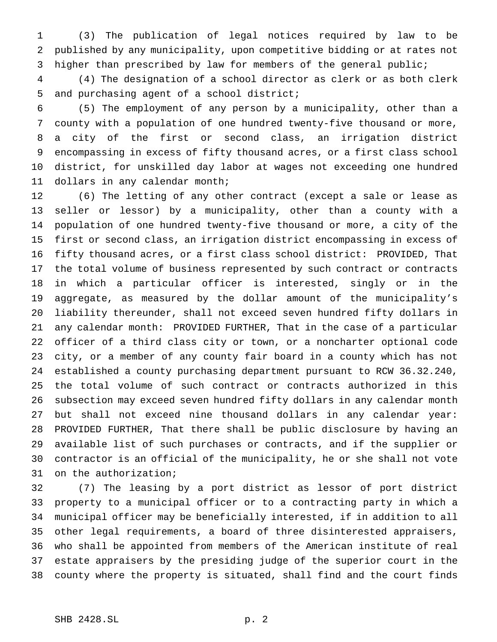(3) The publication of legal notices required by law to be published by any municipality, upon competitive bidding or at rates not higher than prescribed by law for members of the general public;

 (4) The designation of a school director as clerk or as both clerk and purchasing agent of a school district;

 (5) The employment of any person by a municipality, other than a county with a population of one hundred twenty-five thousand or more, a city of the first or second class, an irrigation district encompassing in excess of fifty thousand acres, or a first class school district, for unskilled day labor at wages not exceeding one hundred dollars in any calendar month;

 (6) The letting of any other contract (except a sale or lease as seller or lessor) by a municipality, other than a county with a population of one hundred twenty-five thousand or more, a city of the first or second class, an irrigation district encompassing in excess of fifty thousand acres, or a first class school district: PROVIDED, That the total volume of business represented by such contract or contracts in which a particular officer is interested, singly or in the aggregate, as measured by the dollar amount of the municipality's liability thereunder, shall not exceed seven hundred fifty dollars in any calendar month: PROVIDED FURTHER, That in the case of a particular officer of a third class city or town, or a noncharter optional code city, or a member of any county fair board in a county which has not established a county purchasing department pursuant to RCW 36.32.240, the total volume of such contract or contracts authorized in this subsection may exceed seven hundred fifty dollars in any calendar month but shall not exceed nine thousand dollars in any calendar year: PROVIDED FURTHER, That there shall be public disclosure by having an available list of such purchases or contracts, and if the supplier or contractor is an official of the municipality, he or she shall not vote on the authorization;

 (7) The leasing by a port district as lessor of port district property to a municipal officer or to a contracting party in which a municipal officer may be beneficially interested, if in addition to all other legal requirements, a board of three disinterested appraisers, who shall be appointed from members of the American institute of real estate appraisers by the presiding judge of the superior court in the county where the property is situated, shall find and the court finds